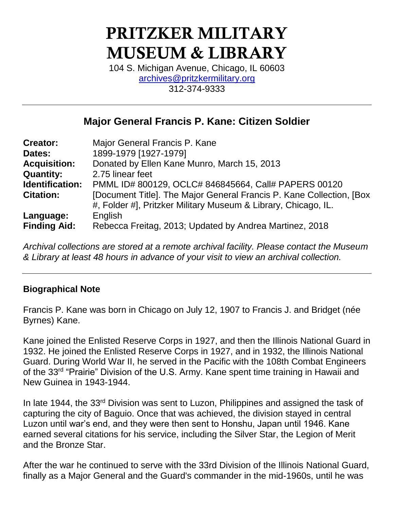# PRITZKER MILITARY MUSEUM & LIBRARY

104 S. Michigan Avenue, Chicago, IL 60603 [archives@pritzkermilitary.org](mailto:archives@pritzkermilitary.org) 312-374-9333

# **Major General Francis P. Kane: Citizen Soldier**

| <b>Creator:</b>     | Major General Francis P. Kane                                         |
|---------------------|-----------------------------------------------------------------------|
| Dates:              | 1899-1979 [1927-1979]                                                 |
| <b>Acquisition:</b> | Donated by Ellen Kane Munro, March 15, 2013                           |
| <b>Quantity:</b>    | 2.75 linear feet                                                      |
| Identification:     | PMML ID# 800129, OCLC# 846845664, Call# PAPERS 00120                  |
| <b>Citation:</b>    | [Document Title]. The Major General Francis P. Kane Collection, [Box] |
|                     | #, Folder #], Pritzker Military Museum & Library, Chicago, IL.        |
| Language:           | English                                                               |
| <b>Finding Aid:</b> | Rebecca Freitag, 2013; Updated by Andrea Martinez, 2018               |

*Archival collections are stored at a remote archival facility. Please contact the Museum & Library at least 48 hours in advance of your visit to view an archival collection.*

### **Biographical Note**

Francis P. Kane was born in Chicago on July 12, 1907 to Francis J. and Bridget (née Byrnes) Kane.

Kane joined the Enlisted Reserve Corps in 1927, and then the Illinois National Guard in 1932. He joined the Enlisted Reserve Corps in 1927, and in 1932, the Illinois National Guard. During World War II, he served in the Pacific with the 108th Combat Engineers of the 33<sup>rd</sup> "Prairie" Division of the U.S. Army. Kane spent time training in Hawaii and New Guinea in 1943-1944.

In late 1944, the 33<sup>rd</sup> Division was sent to Luzon, Philippines and assigned the task of capturing the city of Baguio. Once that was achieved, the division stayed in central Luzon until war's end, and they were then sent to Honshu, Japan until 1946. Kane earned several citations for his service, including the Silver Star, the Legion of Merit and the Bronze Star.

After the war he continued to serve with the 33rd Division of the Illinois National Guard, finally as a Major General and the Guard's commander in the mid-1960s, until he was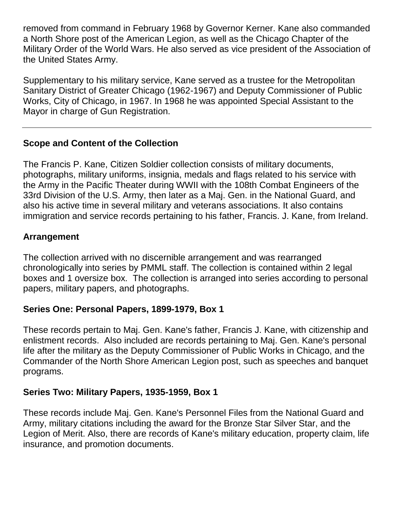removed from command in February 1968 by Governor Kerner. Kane also commanded a North Shore post of the American Legion, as well as the Chicago Chapter of the Military Order of the World Wars. He also served as vice president of the Association of the United States Army.

Supplementary to his military service, Kane served as a trustee for the Metropolitan Sanitary District of Greater Chicago (1962-1967) and Deputy Commissioner of Public Works, City of Chicago, in 1967. In 1968 he was appointed Special Assistant to the Mayor in charge of Gun Registration.

### **Scope and Content of the Collection**

The Francis P. Kane, Citizen Soldier collection consists of military documents, photographs, military uniforms, insignia, medals and flags related to his service with the Army in the Pacific Theater during WWII with the 108th Combat Engineers of the 33rd Division of the U.S. Army, then later as a Maj. Gen. in the National Guard, and also his active time in several military and veterans associations. It also contains immigration and service records pertaining to his father, Francis. J. Kane, from Ireland.

### **Arrangement**

The collection arrived with no discernible arrangement and was rearranged chronologically into series by PMML staff. The collection is contained within 2 legal boxes and 1 oversize box. The collection is arranged into series according to personal papers, military papers, and photographs.

### **Series One: Personal Papers, 1899-1979, Box 1**

These records pertain to Maj. Gen. Kane's father, Francis J. Kane, with citizenship and enlistment records. Also included are records pertaining to Maj. Gen. Kane's personal life after the military as the Deputy Commissioner of Public Works in Chicago, and the Commander of the North Shore American Legion post, such as speeches and banquet programs.

### **Series Two: Military Papers, 1935-1959, Box 1**

These records include Maj. Gen. Kane's Personnel Files from the National Guard and Army, military citations including the award for the Bronze Star Silver Star, and the Legion of Merit. Also, there are records of Kane's military education, property claim, life insurance, and promotion documents.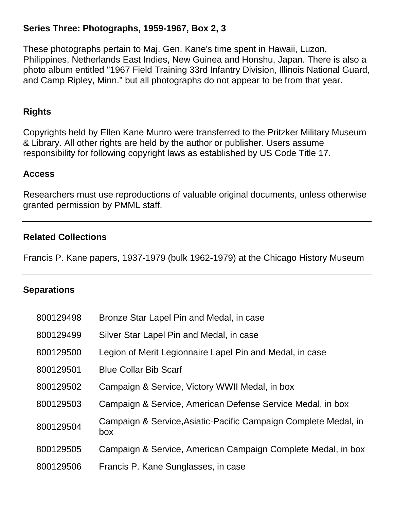### **Series Three: Photographs, 1959-1967, Box 2, 3**

These photographs pertain to Maj. Gen. Kane's time spent in Hawaii, Luzon, Philippines, Netherlands East Indies, New Guinea and Honshu, Japan. There is also a photo album entitled "1967 Field Training 33rd Infantry Division, Illinois National Guard, and Camp Ripley, Minn." but all photographs do not appear to be from that year.

#### **Rights**

Copyrights held by Ellen Kane Munro were transferred to the Pritzker Military Museum & Library. All other rights are held by the author or publisher. Users assume responsibility for following copyright laws as established by US Code Title 17.

#### **Access**

Researchers must use reproductions of valuable original documents, unless otherwise granted permission by PMML staff.

#### **Related Collections**

Francis P. Kane papers, 1937-1979 (bulk 1962-1979) at the Chicago History Museum

#### **Separations**

| 800129498 | Bronze Star Lapel Pin and Medal, in case                               |
|-----------|------------------------------------------------------------------------|
| 800129499 | Silver Star Lapel Pin and Medal, in case                               |
| 800129500 | Legion of Merit Legionnaire Lapel Pin and Medal, in case               |
| 800129501 | <b>Blue Collar Bib Scarf</b>                                           |
| 800129502 | Campaign & Service, Victory WWII Medal, in box                         |
| 800129503 | Campaign & Service, American Defense Service Medal, in box             |
| 800129504 | Campaign & Service, Asiatic-Pacific Campaign Complete Medal, in<br>box |
| 800129505 | Campaign & Service, American Campaign Complete Medal, in box           |
| 800129506 | Francis P. Kane Sunglasses, in case                                    |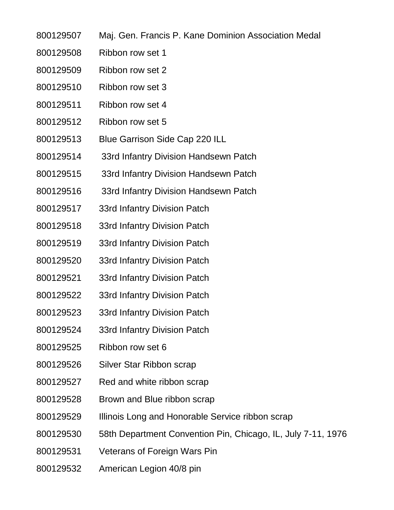- Maj. Gen. Francis P. Kane Dominion Association Medal
- Ribbon row set 1
- Ribbon row set 2
- Ribbon row set 3
- Ribbon row set 4
- Ribbon row set 5
- Blue Garrison Side Cap 220 ILL
- 33rd Infantry Division Handsewn Patch
- 33rd Infantry Division Handsewn Patch
- 33rd Infantry Division Handsewn Patch
- 33rd Infantry Division Patch
- 33rd Infantry Division Patch
- 33rd Infantry Division Patch
- 33rd Infantry Division Patch
- 33rd Infantry Division Patch
- 33rd Infantry Division Patch
- 33rd Infantry Division Patch
- 33rd Infantry Division Patch
- Ribbon row set 6
- Silver Star Ribbon scrap
- Red and white ribbon scrap
- Brown and Blue ribbon scrap
- Illinois Long and Honorable Service ribbon scrap
- 58th Department Convention Pin, Chicago, IL, July 7-11, 1976
- Veterans of Foreign Wars Pin
- American Legion 40/8 pin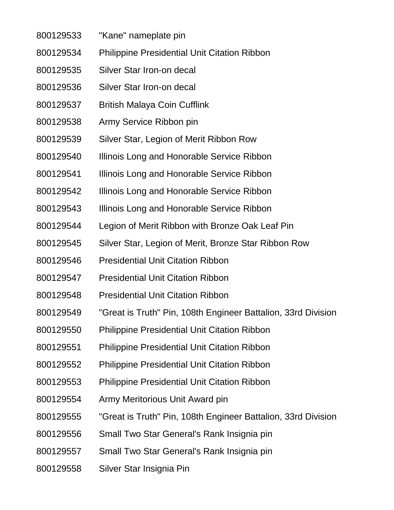- "Kane" nameplate pin
- Philippine Presidential Unit Citation Ribbon
- Silver Star Iron-on decal
- Silver Star Iron-on decal
- British Malaya Coin Cufflink
- Army Service Ribbon pin
- Silver Star, Legion of Merit Ribbon Row
- Illinois Long and Honorable Service Ribbon
- Illinois Long and Honorable Service Ribbon
- Illinois Long and Honorable Service Ribbon
- Illinois Long and Honorable Service Ribbon
- Legion of Merit Ribbon with Bronze Oak Leaf Pin
- Silver Star, Legion of Merit, Bronze Star Ribbon Row
- Presidential Unit Citation Ribbon
- Presidential Unit Citation Ribbon
- Presidential Unit Citation Ribbon
- "Great is Truth" Pin, 108th Engineer Battalion, 33rd Division
- Philippine Presidential Unit Citation Ribbon
- Philippine Presidential Unit Citation Ribbon
- Philippine Presidential Unit Citation Ribbon
- Philippine Presidential Unit Citation Ribbon
- Army Meritorious Unit Award pin
- "Great is Truth" Pin, 108th Engineer Battalion, 33rd Division
- Small Two Star General's Rank Insignia pin
- Small Two Star General's Rank Insignia pin
- Silver Star Insignia Pin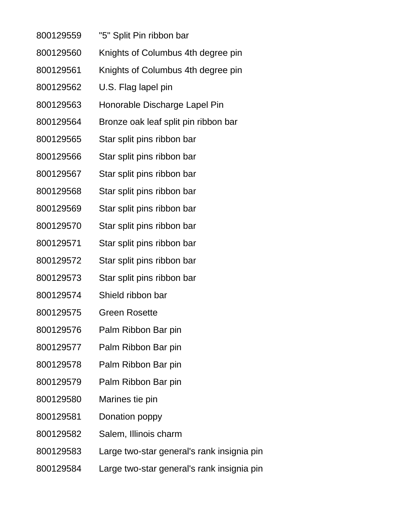- "5" Split Pin ribbon bar
- Knights of Columbus 4th degree pin
- Knights of Columbus 4th degree pin
- U.S. Flag lapel pin
- Honorable Discharge Lapel Pin
- Bronze oak leaf split pin ribbon bar
- Star split pins ribbon bar
- Star split pins ribbon bar
- Star split pins ribbon bar
- Star split pins ribbon bar
- Star split pins ribbon bar
- Star split pins ribbon bar
- Star split pins ribbon bar
- Star split pins ribbon bar
- Star split pins ribbon bar
- Shield ribbon bar
- Green Rosette
- Palm Ribbon Bar pin
- Palm Ribbon Bar pin
- Palm Ribbon Bar pin
- Palm Ribbon Bar pin
- Marines tie pin
- Donation poppy
- Salem, Illinois charm
- Large two-star general's rank insignia pin
- Large two-star general's rank insignia pin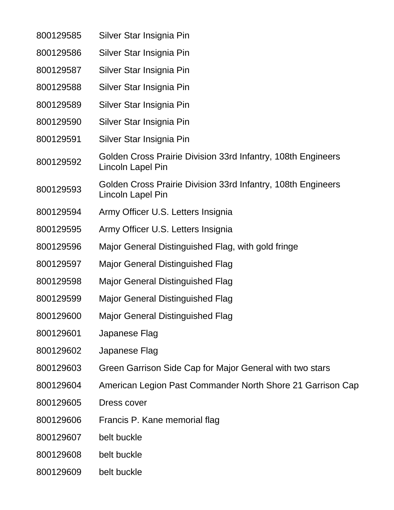| 800129585 | Silver Star Insignia Pin                                                          |
|-----------|-----------------------------------------------------------------------------------|
| 800129586 | Silver Star Insignia Pin                                                          |
| 800129587 | Silver Star Insignia Pin                                                          |
| 800129588 | Silver Star Insignia Pin                                                          |
| 800129589 | Silver Star Insignia Pin                                                          |
| 800129590 | Silver Star Insignia Pin                                                          |
| 800129591 | Silver Star Insignia Pin                                                          |
| 800129592 | Golden Cross Prairie Division 33rd Infantry, 108th Engineers<br>Lincoln Lapel Pin |
| 800129593 | Golden Cross Prairie Division 33rd Infantry, 108th Engineers<br>Lincoln Lapel Pin |
| 800129594 | Army Officer U.S. Letters Insignia                                                |
| 800129595 | Army Officer U.S. Letters Insignia                                                |
| 800129596 | Major General Distinguished Flag, with gold fringe                                |
| 800129597 | <b>Major General Distinguished Flag</b>                                           |
| 800129598 | <b>Major General Distinguished Flag</b>                                           |
| 800129599 | <b>Major General Distinguished Flag</b>                                           |
| 800129600 | Major General Distinguished Flag                                                  |
| 800129601 | Japanese Flag                                                                     |
| 800129602 | Japanese Flag                                                                     |
| 800129603 | Green Garrison Side Cap for Major General with two stars                          |
| 800129604 | American Legion Past Commander North Shore 21 Garrison Cap                        |
| 800129605 | Dress cover                                                                       |
| 800129606 | Francis P. Kane memorial flag                                                     |
| 800129607 | belt buckle                                                                       |
| 800129608 | belt buckle                                                                       |
| 800129609 | belt buckle                                                                       |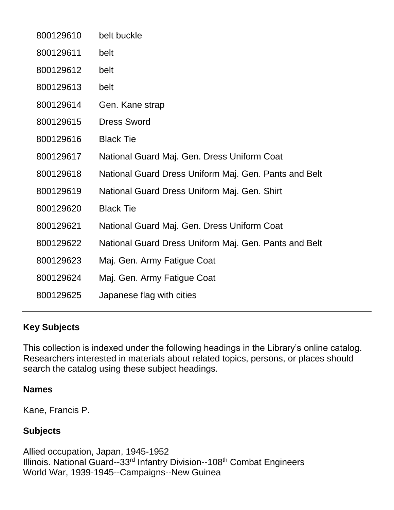| 800129610 | belt buckle                                           |
|-----------|-------------------------------------------------------|
| 800129611 | belt                                                  |
| 800129612 | belt                                                  |
| 800129613 | belt                                                  |
| 800129614 | Gen. Kane strap                                       |
| 800129615 | <b>Dress Sword</b>                                    |
| 800129616 | <b>Black Tie</b>                                      |
| 800129617 | National Guard Maj. Gen. Dress Uniform Coat           |
| 800129618 | National Guard Dress Uniform Maj. Gen. Pants and Belt |
| 800129619 | National Guard Dress Uniform Maj. Gen. Shirt          |
| 800129620 | <b>Black Tie</b>                                      |
| 800129621 | National Guard Maj. Gen. Dress Uniform Coat           |
| 800129622 | National Guard Dress Uniform Maj. Gen. Pants and Belt |
| 800129623 | Maj. Gen. Army Fatigue Coat                           |
| 800129624 | Maj. Gen. Army Fatigue Coat                           |
| 800129625 | Japanese flag with cities                             |

### **Key Subjects**

This collection is indexed under the following headings in the Library's online catalog. Researchers interested in materials about related topics, persons, or places should search the catalog using these subject headings.

#### **Names**

Kane, Francis P.

### **Subjects**

Allied occupation, Japan, 1945-1952 Illinois. National Guard--33rd Infantry Division--108th Combat Engineers World War, 1939-1945--Campaigns--New Guinea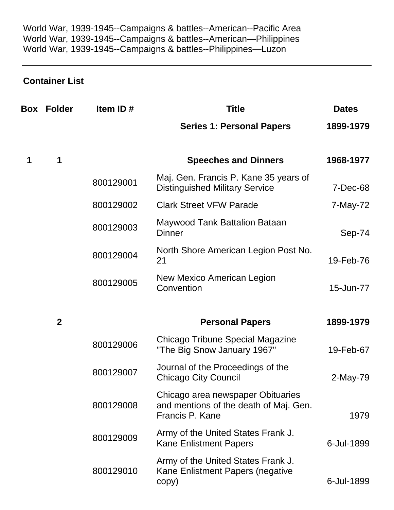World War, 1939-1945--Campaigns & battles--American--Pacific Area World War, 1939-1945--Campaigns & battles--American—Philippines World War, 1939-1945--Campaigns & battles--Philippines—Luzon

# **Container List**

| Box | <b>Folder</b> | Item ID#  | <b>Title</b>                                                                                   | <b>Dates</b> |
|-----|---------------|-----------|------------------------------------------------------------------------------------------------|--------------|
|     |               |           | <b>Series 1: Personal Papers</b>                                                               | 1899-1979    |
| 1   | 1             |           | <b>Speeches and Dinners</b>                                                                    | 1968-1977    |
|     |               | 800129001 | Maj. Gen. Francis P. Kane 35 years of<br><b>Distinguished Military Service</b>                 | 7-Dec-68     |
|     |               | 800129002 | <b>Clark Street VFW Parade</b>                                                                 | 7-May-72     |
|     |               | 800129003 | Maywood Tank Battalion Bataan<br>Dinner                                                        | Sep-74       |
|     |               | 800129004 | North Shore American Legion Post No.<br>21                                                     | 19-Feb-76    |
|     |               | 800129005 | New Mexico American Legion<br>Convention                                                       | 15-Jun-77    |
|     | $\mathbf{2}$  |           | <b>Personal Papers</b>                                                                         | 1899-1979    |
|     |               | 800129006 | Chicago Tribune Special Magazine<br>"The Big Snow January 1967"                                | 19-Feb-67    |
|     |               | 800129007 | Journal of the Proceedings of the<br><b>Chicago City Council</b>                               | 2-May-79     |
|     |               | 800129008 | Chicago area newspaper Obituaries<br>and mentions of the death of Maj. Gen.<br>Francis P. Kane | 1979         |
|     |               | 800129009 | Army of the United States Frank J.<br><b>Kane Enlistment Papers</b>                            | 6-Jul-1899   |
|     |               | 800129010 | Army of the United States Frank J.<br>Kane Enlistment Papers (negative                         | 6-Jul-1899   |
|     |               |           | copy)                                                                                          |              |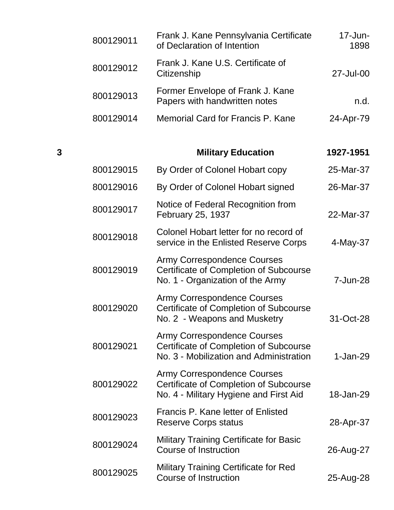| 800129011 | Frank J. Kane Pennsylvania Certificate<br>of Declaration of Intention | $17$ -Jun-<br>1898 |
|-----------|-----------------------------------------------------------------------|--------------------|
| 800129012 | Frank J. Kane U.S. Certificate of<br>Citizenship                      | 27-Jul-00          |
| 800129013 | Former Envelope of Frank J. Kane<br>Papers with handwritten notes     | n.d.               |
| 800129014 | Memorial Card for Francis P. Kane                                     | 24-Apr-79          |

# **3 Military Education 1927-1951**

| 800129015 | By Order of Colonel Hobart copy                                                                                                | 25-Mar-37  |
|-----------|--------------------------------------------------------------------------------------------------------------------------------|------------|
| 800129016 | By Order of Colonel Hobart signed                                                                                              | 26-Mar-37  |
| 800129017 | Notice of Federal Recognition from<br>February 25, 1937                                                                        | 22-Mar-37  |
| 800129018 | Colonel Hobart letter for no record of<br>service in the Enlisted Reserve Corps                                                | 4-May-37   |
| 800129019 | <b>Army Correspondence Courses</b><br>Certificate of Completion of Subcourse<br>No. 1 - Organization of the Army               | 7-Jun-28   |
| 800129020 | <b>Army Correspondence Courses</b><br><b>Certificate of Completion of Subcourse</b><br>No. 2 - Weapons and Musketry            | 31-Oct-28  |
| 800129021 | <b>Army Correspondence Courses</b><br><b>Certificate of Completion of Subcourse</b><br>No. 3 - Mobilization and Administration | $1-Jan-29$ |
| 800129022 | <b>Army Correspondence Courses</b><br><b>Certificate of Completion of Subcourse</b><br>No. 4 - Military Hygiene and First Aid  | 18-Jan-29  |
| 800129023 | <b>Francis P. Kane letter of Enlisted</b><br><b>Reserve Corps status</b>                                                       | 28-Apr-37  |
| 800129024 | <b>Military Training Certificate for Basic</b><br><b>Course of Instruction</b>                                                 | 26-Aug-27  |
| 800129025 | <b>Military Training Certificate for Red</b><br><b>Course of Instruction</b>                                                   | 25-Aug-28  |
|           |                                                                                                                                |            |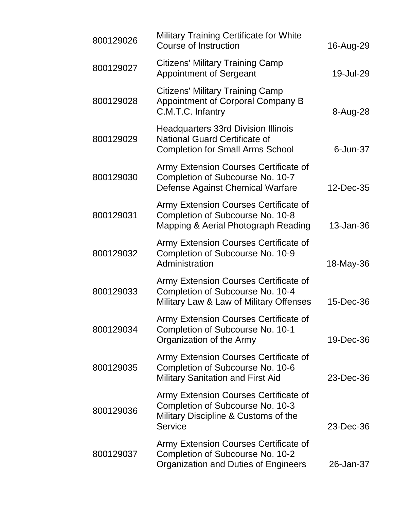| 800129026 | <b>Military Training Certificate for White</b><br><b>Course of Instruction</b>                                                      | 16-Aug-29 |
|-----------|-------------------------------------------------------------------------------------------------------------------------------------|-----------|
| 800129027 | <b>Citizens' Military Training Camp</b><br><b>Appointment of Sergeant</b>                                                           | 19-Jul-29 |
| 800129028 | <b>Citizens' Military Training Camp</b><br>Appointment of Corporal Company B<br>C.M.T.C. Infantry                                   | 8-Aug-28  |
| 800129029 | <b>Headquarters 33rd Division Illinois</b><br><b>National Guard Certificate of</b><br><b>Completion for Small Arms School</b>       | 6-Jun-37  |
| 800129030 | Army Extension Courses Certificate of<br>Completion of Subcourse No. 10-7<br>Defense Against Chemical Warfare                       | 12-Dec-35 |
| 800129031 | Army Extension Courses Certificate of<br>Completion of Subcourse No. 10-8<br>Mapping & Aerial Photograph Reading                    | 13-Jan-36 |
| 800129032 | Army Extension Courses Certificate of<br>Completion of Subcourse No. 10-9<br>Administration                                         | 18-May-36 |
| 800129033 | Army Extension Courses Certificate of<br>Completion of Subcourse No. 10-4<br>Military Law & Law of Military Offenses                | 15-Dec-36 |
| 800129034 | Army Extension Courses Certificate of<br>Completion of Subcourse No. 10-1<br>Organization of the Army                               | 19-Dec-36 |
| 800129035 | Army Extension Courses Certificate of<br>Completion of Subcourse No. 10-6<br><b>Military Sanitation and First Aid</b>               | 23-Dec-36 |
| 800129036 | Army Extension Courses Certificate of<br>Completion of Subcourse No. 10-3<br>Military Discipline & Customs of the<br><b>Service</b> | 23-Dec-36 |
| 800129037 | Army Extension Courses Certificate of<br>Completion of Subcourse No. 10-2<br>Organization and Duties of Engineers                   | 26-Jan-37 |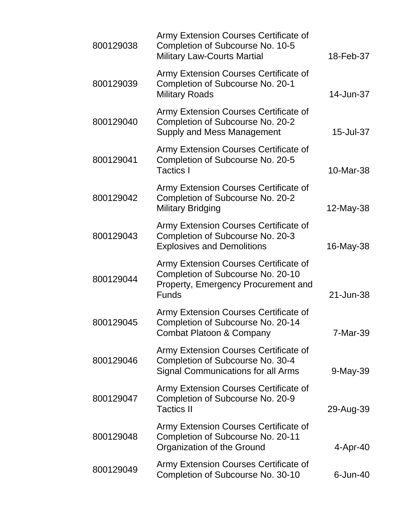| 800129038 | Army Extension Courses Certificate of<br>Completion of Subcourse No. 10-5<br><b>Military Law-Courts Martial</b>                          | 18-Feb-37   |
|-----------|------------------------------------------------------------------------------------------------------------------------------------------|-------------|
| 800129039 | Army Extension Courses Certificate of<br>Completion of Subcourse No. 20-1<br><b>Military Roads</b>                                       | 14-Jun-37   |
| 800129040 | Army Extension Courses Certificate of<br>Completion of Subcourse No. 20-2<br>Supply and Mess Management                                  | 15-Jul-37   |
| 800129041 | Army Extension Courses Certificate of<br>Completion of Subcourse No. 20-5<br><b>Tactics I</b>                                            | 10-Mar-38   |
| 800129042 | Army Extension Courses Certificate of<br>Completion of Subcourse No. 20-2<br><b>Military Bridging</b>                                    | 12-May-38   |
| 800129043 | Army Extension Courses Certificate of<br>Completion of Subcourse No. 20-3<br><b>Explosives and Demolitions</b>                           | 16-May-38   |
| 800129044 | Army Extension Courses Certificate of<br>Completion of Subcourse No. 20-10<br><b>Property, Emergency Procurement and</b><br><b>Funds</b> | 21-Jun-38   |
| 800129045 | Army Extension Courses Certificate of<br>Completion of Subcourse No. 20-14<br><b>Combat Platoon &amp; Company</b>                        | 7-Mar-39    |
| 800129046 | Army Extension Courses Certificate of<br>Completion of Subcourse No. 30-4<br><b>Signal Communications for all Arms</b>                   | 9-May-39    |
| 800129047 | Army Extension Courses Certificate of<br>Completion of Subcourse No. 20-9<br><b>Tactics II</b>                                           | 29-Aug-39   |
| 800129048 | Army Extension Courses Certificate of<br>Completion of Subcourse No. 20-11<br>Organization of the Ground                                 | 4-Apr-40    |
| 800129049 | Army Extension Courses Certificate of<br>Completion of Subcourse No. 30-10                                                               | $6$ -Jun-40 |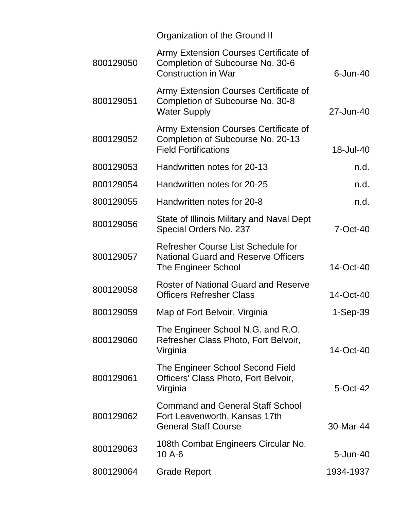|           | Organization of the Ground II                                                                             |             |
|-----------|-----------------------------------------------------------------------------------------------------------|-------------|
| 800129050 | Army Extension Courses Certificate of<br>Completion of Subcourse No. 30-6<br><b>Construction in War</b>   | $6$ -Jun-40 |
| 800129051 | Army Extension Courses Certificate of<br>Completion of Subcourse No. 30-8<br><b>Water Supply</b>          | 27-Jun-40   |
| 800129052 | Army Extension Courses Certificate of<br>Completion of Subcourse No. 20-13<br><b>Field Fortifications</b> | 18-Jul-40   |
| 800129053 | Handwritten notes for 20-13                                                                               | n.d.        |
| 800129054 | Handwritten notes for 20-25                                                                               | n.d.        |
| 800129055 | Handwritten notes for 20-8                                                                                | n.d.        |
| 800129056 | State of Illinois Military and Naval Dept<br>Special Orders No. 237                                       | 7-Oct-40    |
| 800129057 | Refresher Course List Schedule for<br><b>National Guard and Reserve Officers</b><br>The Engineer School   | 14-Oct-40   |
| 800129058 | <b>Roster of National Guard and Reserve</b><br><b>Officers Refresher Class</b>                            | 14-Oct-40   |
| 800129059 | Map of Fort Belvoir, Virginia                                                                             | $1-Sep-39$  |
| 800129060 | The Engineer School N.G. and R.O.<br>Refresher Class Photo, Fort Belvoir,<br>Virginia                     | 14-Oct-40   |
| 800129061 | The Engineer School Second Field<br>Officers' Class Photo, Fort Belvoir,<br>Virginia                      | $5$ -Oct-42 |
| 800129062 | <b>Command and General Staff School</b><br>Fort Leavenworth, Kansas 17th<br><b>General Staff Course</b>   | 30-Mar-44   |
| 800129063 | 108th Combat Engineers Circular No.<br>10 A-6                                                             | 5-Jun-40    |
| 800129064 | <b>Grade Report</b>                                                                                       | 1934-1937   |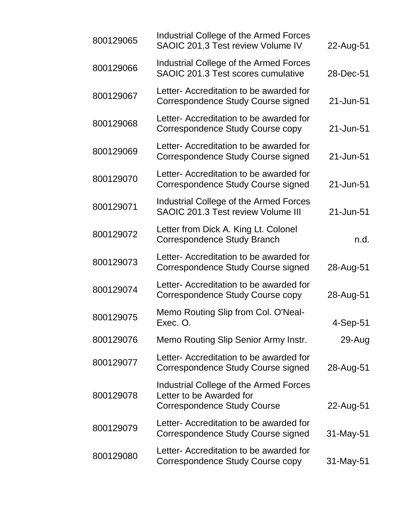| 800129065 | Industrial College of the Armed Forces<br>SAOIC 201.3 Test review Volume IV                              | 22-Aug-51  |
|-----------|----------------------------------------------------------------------------------------------------------|------------|
| 800129066 | <b>Industrial College of the Armed Forces</b><br>SAOIC 201.3 Test scores cumulative                      | 28-Dec-51  |
| 800129067 | Letter- Accreditation to be awarded for<br>Correspondence Study Course signed                            | 21-Jun-51  |
| 800129068 | Letter- Accreditation to be awarded for<br>Correspondence Study Course copy                              | 21-Jun-51  |
| 800129069 | Letter- Accreditation to be awarded for<br>Correspondence Study Course signed                            | 21-Jun-51  |
| 800129070 | Letter- Accreditation to be awarded for<br>Correspondence Study Course signed                            | 21-Jun-51  |
| 800129071 | Industrial College of the Armed Forces<br>SAOIC 201.3 Test review Volume III                             | 21-Jun-51  |
| 800129072 | Letter from Dick A. King Lt. Colonel<br>Correspondence Study Branch                                      | n.d.       |
| 800129073 | Letter- Accreditation to be awarded for<br>Correspondence Study Course signed                            | 28-Aug-51  |
| 800129074 | Letter- Accreditation to be awarded for<br>Correspondence Study Course copy                              | 28-Aug-51  |
| 800129075 | Memo Routing Slip from Col. O'Neal-<br>Exec. O.                                                          | $4-Sep-51$ |
| 800129076 | Memo Routing Slip Senior Army Instr.                                                                     | 29-Aug     |
| 800129077 | Letter- Accreditation to be awarded for<br>Correspondence Study Course signed                            | 28-Aug-51  |
| 800129078 | Industrial College of the Armed Forces<br>Letter to be Awarded for<br><b>Correspondence Study Course</b> | 22-Aug-51  |
| 800129079 | Letter- Accreditation to be awarded for<br>Correspondence Study Course signed                            | 31-May-51  |
| 800129080 | Letter- Accreditation to be awarded for<br>Correspondence Study Course copy                              | 31-May-51  |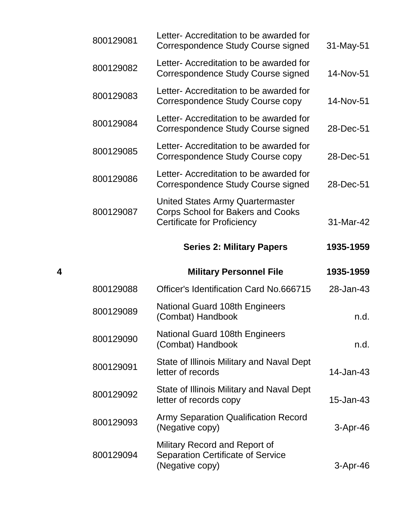|           | <b>Series 2: Military Papers</b>                                                                     | 1935-1959    |
|-----------|------------------------------------------------------------------------------------------------------|--------------|
| 800129087 | United States Army Quartermaster<br>Corps School for Bakers and Cooks<br>Certificate for Proficiency | 31-Mar-42    |
| 800129086 | Letter- Accreditation to be awarded for<br>Correspondence Study Course signed                        | 28-Dec-51    |
| 800129085 | Letter- Accreditation to be awarded for<br>Correspondence Study Course copy                          | 28-Dec-51    |
| 800129084 | Letter- Accreditation to be awarded for<br>Correspondence Study Course signed                        | 28-Dec-51    |
| 800129083 | Letter- Accreditation to be awarded for<br>Correspondence Study Course copy                          | 14-Nov-51    |
| 800129082 | Letter- Accreditation to be awarded for<br>Correspondence Study Course signed                        | 14-Nov-51    |
| 800129081 | Letter- Accreditation to be awarded for<br>Correspondence Study Course signed                        | $31$ -May-51 |

| 4 |           | <b>Military Personnel File</b>                                                               | 1935-1959    |
|---|-----------|----------------------------------------------------------------------------------------------|--------------|
|   | 800129088 | Officer's Identification Card No.666715                                                      | 28-Jan-43    |
|   | 800129089 | National Guard 108th Engineers<br>(Combat) Handbook                                          | n.d.         |
|   | 800129090 | <b>National Guard 108th Engineers</b><br>(Combat) Handbook                                   | n.d.         |
|   | 800129091 | State of Illinois Military and Naval Dept<br>letter of records                               | $14$ -Jan-43 |
|   | 800129092 | State of Illinois Military and Naval Dept<br>letter of records copy                          | 15-Jan-43    |
|   | 800129093 | <b>Army Separation Qualification Record</b><br>(Negative copy)                               | $3-Apr-46$   |
|   | 800129094 | Military Record and Report of<br><b>Separation Certificate of Service</b><br>(Negative copy) | 3-Apr-46     |
|   |           |                                                                                              |              |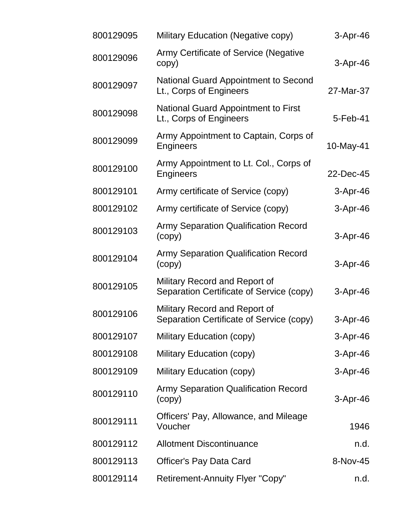| 800129095 | Military Education (Negative copy)                                        | 3-Apr-46   |
|-----------|---------------------------------------------------------------------------|------------|
| 800129096 | <b>Army Certificate of Service (Negative</b><br>copy)                     | $3-Apr-46$ |
| 800129097 | National Guard Appointment to Second<br>Lt., Corps of Engineers           | 27-Mar-37  |
| 800129098 | <b>National Guard Appointment to First</b><br>Lt., Corps of Engineers     | 5-Feb-41   |
| 800129099 | Army Appointment to Captain, Corps of<br>Engineers                        | 10-May-41  |
| 800129100 | Army Appointment to Lt. Col., Corps of<br>Engineers                       | 22-Dec-45  |
| 800129101 | Army certificate of Service (copy)                                        | 3-Apr-46   |
| 800129102 | Army certificate of Service (copy)                                        | $3-Apr-46$ |
| 800129103 | <b>Army Separation Qualification Record</b><br>(copy)                     | 3-Apr-46   |
| 800129104 | <b>Army Separation Qualification Record</b><br>(copy)                     | 3-Apr-46   |
| 800129105 | Military Record and Report of<br>Separation Certificate of Service (copy) | 3-Apr-46   |
| 800129106 | Military Record and Report of<br>Separation Certificate of Service (copy) | 3-Apr-46   |
| 800129107 | Military Education (copy)                                                 | $3-Apr-46$ |
| 800129108 | Military Education (copy)                                                 | 3-Apr-46   |
| 800129109 | Military Education (copy)                                                 | $3-Apr-46$ |
| 800129110 | <b>Army Separation Qualification Record</b><br>(copy)                     | 3-Apr-46   |
| 800129111 | Officers' Pay, Allowance, and Mileage<br>Voucher                          | 1946       |
| 800129112 | <b>Allotment Discontinuance</b>                                           | n.d.       |
| 800129113 | <b>Officer's Pay Data Card</b>                                            | 8-Nov-45   |
| 800129114 | <b>Retirement-Annuity Flyer "Copy"</b>                                    | n.d.       |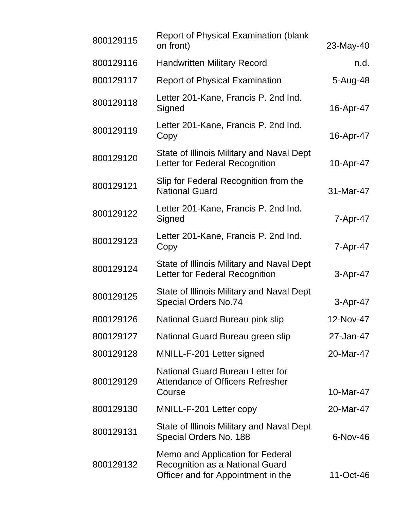| 800129115 | <b>Report of Physical Examination (blank</b><br>on front)                                                        | 23-May-40  |
|-----------|------------------------------------------------------------------------------------------------------------------|------------|
| 800129116 | <b>Handwritten Military Record</b>                                                                               | n.d.       |
| 800129117 | <b>Report of Physical Examination</b>                                                                            | 5-Aug-48   |
| 800129118 | Letter 201-Kane, Francis P. 2nd Ind.<br>Signed                                                                   | 16-Apr-47  |
| 800129119 | Letter 201-Kane, Francis P. 2nd Ind.<br>Copy                                                                     | 16-Apr-47  |
| 800129120 | State of Illinois Military and Naval Dept<br>Letter for Federal Recognition                                      | 10-Apr-47  |
| 800129121 | Slip for Federal Recognition from the<br><b>National Guard</b>                                                   | 31-Mar-47  |
| 800129122 | Letter 201-Kane, Francis P. 2nd Ind.<br>Signed                                                                   | 7-Apr-47   |
| 800129123 | Letter 201-Kane, Francis P. 2nd Ind.<br>Copy                                                                     | 7-Apr-47   |
| 800129124 | State of Illinois Military and Naval Dept<br>Letter for Federal Recognition                                      | 3-Apr-47   |
| 800129125 | State of Illinois Military and Naval Dept<br><b>Special Orders No.74</b>                                         | 3-Apr-47   |
| 800129126 | National Guard Bureau pink slip                                                                                  | 12-Nov-47  |
| 800129127 | National Guard Bureau green slip                                                                                 | 27-Jan-47  |
| 800129128 | MNILL-F-201 Letter signed                                                                                        | 20-Mar-47  |
| 800129129 | <b>National Guard Bureau Letter for</b><br><b>Attendance of Officers Refresher</b><br>Course                     | 10-Mar-47  |
| 800129130 | MNILL-F-201 Letter copy                                                                                          | 20-Mar-47  |
| 800129131 | State of Illinois Military and Naval Dept<br>Special Orders No. 188                                              | $6-Nov-46$ |
| 800129132 | Memo and Application for Federal<br><b>Recognition as a National Guard</b><br>Officer and for Appointment in the | 11-Oct-46  |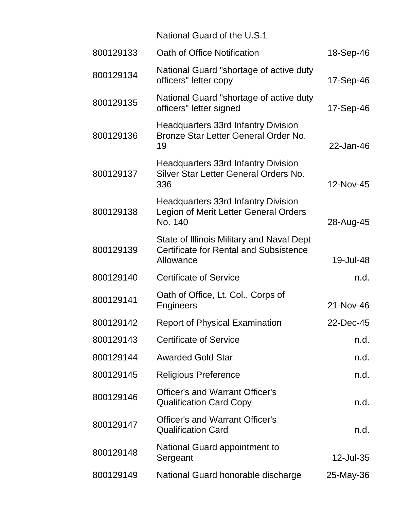|           | National Guard of the U.S.1                                                                             |           |
|-----------|---------------------------------------------------------------------------------------------------------|-----------|
| 800129133 | Oath of Office Notification                                                                             | 18-Sep-46 |
| 800129134 | National Guard "shortage of active duty<br>officers" letter copy                                        | 17-Sep-46 |
| 800129135 | National Guard "shortage of active duty<br>officers" letter signed                                      | 17-Sep-46 |
| 800129136 | <b>Headquarters 33rd Infantry Division</b><br>Bronze Star Letter General Order No.<br>19                | 22-Jan-46 |
| 800129137 | <b>Headquarters 33rd Infantry Division</b><br>Silver Star Letter General Orders No.<br>336              | 12-Nov-45 |
| 800129138 | <b>Headquarters 33rd Infantry Division</b><br>Legion of Merit Letter General Orders<br>No. 140          | 28-Aug-45 |
| 800129139 | State of Illinois Military and Naval Dept<br><b>Certificate for Rental and Subsistence</b><br>Allowance | 19-Jul-48 |
| 800129140 | <b>Certificate of Service</b>                                                                           | n.d.      |
| 800129141 | Oath of Office, Lt. Col., Corps of<br>Engineers                                                         | 21-Nov-46 |
| 800129142 | <b>Report of Physical Examination</b>                                                                   | 22-Dec-45 |
| 800129143 | <b>Certificate of Service</b>                                                                           | n.d.      |
| 800129144 | <b>Awarded Gold Star</b>                                                                                | n.d.      |
| 800129145 | <b>Religious Preference</b>                                                                             | n.d.      |
| 800129146 | <b>Officer's and Warrant Officer's</b><br><b>Qualification Card Copy</b>                                | n.d.      |
| 800129147 | <b>Officer's and Warrant Officer's</b><br><b>Qualification Card</b>                                     | n.d.      |
| 800129148 | National Guard appointment to<br>Sergeant                                                               | 12-Jul-35 |
| 800129149 | National Guard honorable discharge                                                                      | 25-May-36 |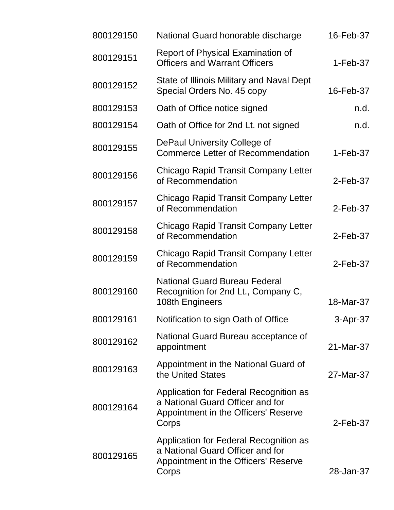| 800129150 | National Guard honorable discharge                                                                                          | 16-Feb-37   |
|-----------|-----------------------------------------------------------------------------------------------------------------------------|-------------|
| 800129151 | <b>Report of Physical Examination of</b><br><b>Officers and Warrant Officers</b>                                            | $1-Feb-37$  |
| 800129152 | State of Illinois Military and Naval Dept<br>Special Orders No. 45 copy                                                     | 16-Feb-37   |
| 800129153 | Oath of Office notice signed                                                                                                | n.d.        |
| 800129154 | Oath of Office for 2nd Lt. not signed                                                                                       | n.d.        |
| 800129155 | DePaul University College of<br><b>Commerce Letter of Recommendation</b>                                                    | 1-Feb-37    |
| 800129156 | Chicago Rapid Transit Company Letter<br>of Recommendation                                                                   | $2$ -Feb-37 |
| 800129157 | Chicago Rapid Transit Company Letter<br>of Recommendation                                                                   | $2$ -Feb-37 |
| 800129158 | Chicago Rapid Transit Company Letter<br>of Recommendation                                                                   | $2$ -Feb-37 |
| 800129159 | Chicago Rapid Transit Company Letter<br>of Recommendation                                                                   | 2-Feb-37    |
| 800129160 | <b>National Guard Bureau Federal</b><br>Recognition for 2nd Lt., Company C,<br>108th Engineers                              | 18-Mar-37   |
| 800129161 | Notification to sign Oath of Office                                                                                         | 3-Apr-37    |
| 800129162 | National Guard Bureau acceptance of<br>appointment                                                                          | 21-Mar-37   |
| 800129163 | Appointment in the National Guard of<br>the United States                                                                   | 27-Mar-37   |
| 800129164 | Application for Federal Recognition as<br>a National Guard Officer and for<br>Appointment in the Officers' Reserve<br>Corps | 2-Feb-37    |
| 800129165 | Application for Federal Recognition as<br>a National Guard Officer and for<br>Appointment in the Officers' Reserve<br>Corps | 28-Jan-37   |
|           |                                                                                                                             |             |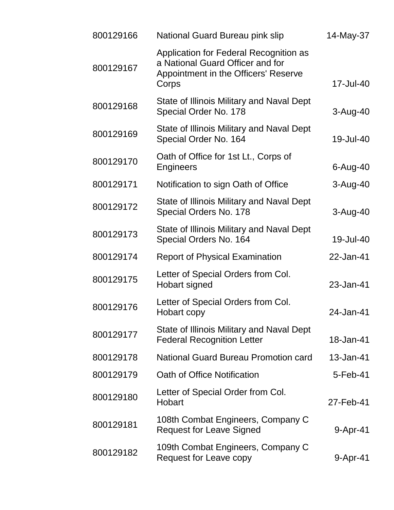| 800129166 | National Guard Bureau pink slip                                                                                             | 14-May-37      |
|-----------|-----------------------------------------------------------------------------------------------------------------------------|----------------|
| 800129167 | Application for Federal Recognition as<br>a National Guard Officer and for<br>Appointment in the Officers' Reserve<br>Corps | 17-Jul-40      |
| 800129168 | State of Illinois Military and Naval Dept<br>Special Order No. 178                                                          | $3 - Aug-40$   |
| 800129169 | State of Illinois Military and Naval Dept<br>Special Order No. 164                                                          | 19-Jul-40      |
| 800129170 | Oath of Office for 1st Lt., Corps of<br>Engineers                                                                           | 6-Aug-40       |
| 800129171 | Notification to sign Oath of Office                                                                                         | $3 - Aug-40$   |
| 800129172 | <b>State of Illinois Military and Naval Dept</b><br>Special Orders No. 178                                                  | $3-Auq-40$     |
| 800129173 | State of Illinois Military and Naval Dept<br>Special Orders No. 164                                                         | 19-Jul-40      |
| 800129174 | <b>Report of Physical Examination</b>                                                                                       | 22-Jan-41      |
| 800129175 | Letter of Special Orders from Col.<br>Hobart signed                                                                         | 23-Jan-41      |
| 800129176 | Letter of Special Orders from Col.<br>Hobart copy                                                                           | 24-Jan-41      |
| 800129177 | State of Illinois Military and Naval Dept<br><b>Federal Recognition Letter</b>                                              | 18-Jan-41      |
| 800129178 | National Guard Bureau Promotion card                                                                                        | 13-Jan-41      |
| 800129179 | Oath of Office Notification                                                                                                 | $5 - Feb - 41$ |
| 800129180 | Letter of Special Order from Col.<br>Hobart                                                                                 | 27-Feb-41      |
| 800129181 | 108th Combat Engineers, Company C<br><b>Request for Leave Signed</b>                                                        | 9-Apr-41       |
| 800129182 | 109th Combat Engineers, Company C<br><b>Request for Leave copy</b>                                                          | 9-Apr-41       |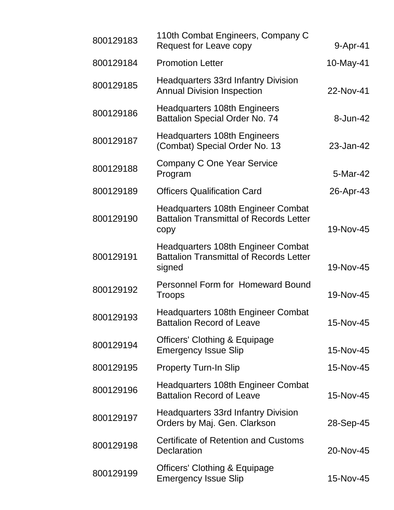| 800129183 | 110th Combat Engineers, Company C<br>Request for Leave copy                                    | $9-Apr-41$ |
|-----------|------------------------------------------------------------------------------------------------|------------|
| 800129184 | <b>Promotion Letter</b>                                                                        | 10-May-41  |
| 800129185 | <b>Headquarters 33rd Infantry Division</b><br><b>Annual Division Inspection</b>                | 22-Nov-41  |
| 800129186 | <b>Headquarters 108th Engineers</b><br><b>Battalion Special Order No. 74</b>                   | 8-Jun-42   |
| 800129187 | <b>Headquarters 108th Engineers</b><br>(Combat) Special Order No. 13                           | 23-Jan-42  |
| 800129188 | <b>Company C One Year Service</b><br>Program                                                   | 5-Mar-42   |
| 800129189 | <b>Officers Qualification Card</b>                                                             | 26-Apr-43  |
| 800129190 | Headquarters 108th Engineer Combat<br><b>Battalion Transmittal of Records Letter</b><br>copy   | 19-Nov-45  |
| 800129191 | Headquarters 108th Engineer Combat<br><b>Battalion Transmittal of Records Letter</b><br>signed | 19-Nov-45  |
| 800129192 | <b>Personnel Form for Homeward Bound</b><br><b>Troops</b>                                      | 19-Nov-45  |
| 800129193 | Headquarters 108th Engineer Combat<br><b>Battalion Record of Leave</b>                         | 15-Nov-45  |
| 800129194 | <b>Officers' Clothing &amp; Equipage</b><br><b>Emergency Issue Slip</b>                        | 15-Nov-45  |
| 800129195 | <b>Property Turn-In Slip</b>                                                                   | 15-Nov-45  |
| 800129196 | Headquarters 108th Engineer Combat<br><b>Battalion Record of Leave</b>                         | 15-Nov-45  |
| 800129197 | <b>Headquarters 33rd Infantry Division</b><br>Orders by Maj. Gen. Clarkson                     | 28-Sep-45  |
| 800129198 | <b>Certificate of Retention and Customs</b><br><b>Declaration</b>                              | 20-Nov-45  |
| 800129199 | <b>Officers' Clothing &amp; Equipage</b><br><b>Emergency Issue Slip</b>                        | 15-Nov-45  |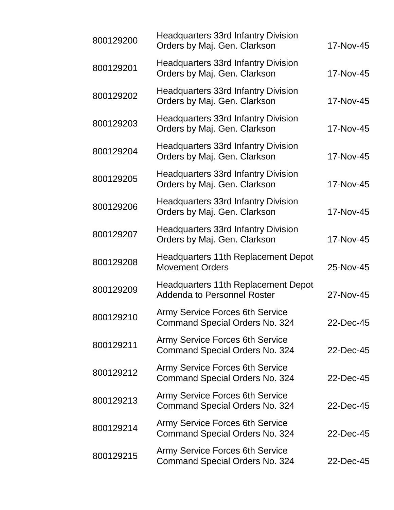| 800129200 | <b>Headquarters 33rd Infantry Division</b><br>Orders by Maj. Gen. Clarkson      | 17-Nov-45 |
|-----------|---------------------------------------------------------------------------------|-----------|
| 800129201 | <b>Headquarters 33rd Infantry Division</b><br>Orders by Maj. Gen. Clarkson      | 17-Nov-45 |
| 800129202 | <b>Headquarters 33rd Infantry Division</b><br>Orders by Maj. Gen. Clarkson      | 17-Nov-45 |
| 800129203 | <b>Headquarters 33rd Infantry Division</b><br>Orders by Maj. Gen. Clarkson      | 17-Nov-45 |
| 800129204 | <b>Headquarters 33rd Infantry Division</b><br>Orders by Maj. Gen. Clarkson      | 17-Nov-45 |
| 800129205 | <b>Headquarters 33rd Infantry Division</b><br>Orders by Maj. Gen. Clarkson      | 17-Nov-45 |
| 800129206 | <b>Headquarters 33rd Infantry Division</b><br>Orders by Maj. Gen. Clarkson      | 17-Nov-45 |
| 800129207 | <b>Headquarters 33rd Infantry Division</b><br>Orders by Maj. Gen. Clarkson      | 17-Nov-45 |
| 800129208 | <b>Headquarters 11th Replacement Depot</b><br><b>Movement Orders</b>            | 25-Nov-45 |
| 800129209 | Headquarters 11th Replacement Depot<br><b>Addenda to Personnel Roster</b>       | 27-Nov-45 |
| 800129210 | <b>Army Service Forces 6th Service</b><br>Command Special Orders No. 324        | 22-Dec-45 |
| 800129211 | <b>Army Service Forces 6th Service</b><br>Command Special Orders No. 324        | 22-Dec-45 |
| 800129212 | <b>Army Service Forces 6th Service</b><br><b>Command Special Orders No. 324</b> | 22-Dec-45 |
| 800129213 | <b>Army Service Forces 6th Service</b><br><b>Command Special Orders No. 324</b> | 22-Dec-45 |
| 800129214 | <b>Army Service Forces 6th Service</b><br><b>Command Special Orders No. 324</b> | 22-Dec-45 |
| 800129215 | <b>Army Service Forces 6th Service</b><br><b>Command Special Orders No. 324</b> | 22-Dec-45 |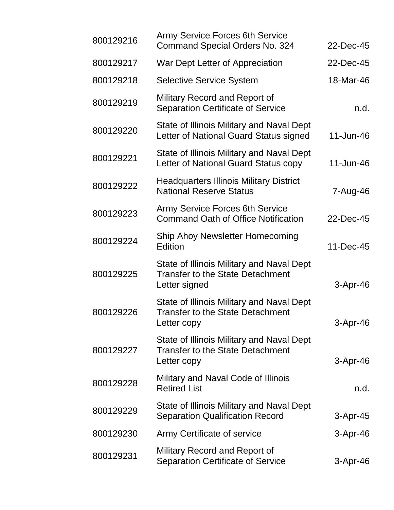| 800129216 | <b>Army Service Forces 6th Service</b><br><b>Command Special Orders No. 324</b>                       | 22-Dec-45  |
|-----------|-------------------------------------------------------------------------------------------------------|------------|
| 800129217 | War Dept Letter of Appreciation                                                                       | 22-Dec-45  |
| 800129218 | <b>Selective Service System</b>                                                                       | 18-Mar-46  |
| 800129219 | Military Record and Report of<br><b>Separation Certificate of Service</b>                             | n.d.       |
| 800129220 | State of Illinois Military and Naval Dept<br>Letter of National Guard Status signed                   | 11-Jun-46  |
| 800129221 | State of Illinois Military and Naval Dept<br>Letter of National Guard Status copy                     | 11-Jun-46  |
| 800129222 | <b>Headquarters Illinois Military District</b><br><b>National Reserve Status</b>                      | 7-Aug-46   |
| 800129223 | <b>Army Service Forces 6th Service</b><br><b>Command Oath of Office Notification</b>                  | 22-Dec-45  |
| 800129224 | Ship Ahoy Newsletter Homecoming<br><b>Edition</b>                                                     | 11-Dec-45  |
| 800129225 | State of Illinois Military and Naval Dept<br><b>Transfer to the State Detachment</b><br>Letter signed | $3-Apr-46$ |
| 800129226 | State of Illinois Military and Naval Dept<br><b>Transfer to the State Detachment</b><br>Letter copy   | 3-Apr-46   |
| 800129227 | State of Illinois Military and Naval Dept<br><b>Transfer to the State Detachment</b><br>Letter copy   | $3-Apr-46$ |
| 800129228 | Military and Naval Code of Illinois<br><b>Retired List</b>                                            | n.d.       |
| 800129229 | State of Illinois Military and Naval Dept<br><b>Separation Qualification Record</b>                   | $3-Apr-45$ |
| 800129230 | Army Certificate of service                                                                           | $3-Apr-46$ |
| 800129231 | Military Record and Report of<br><b>Separation Certificate of Service</b>                             | $3-Apr-46$ |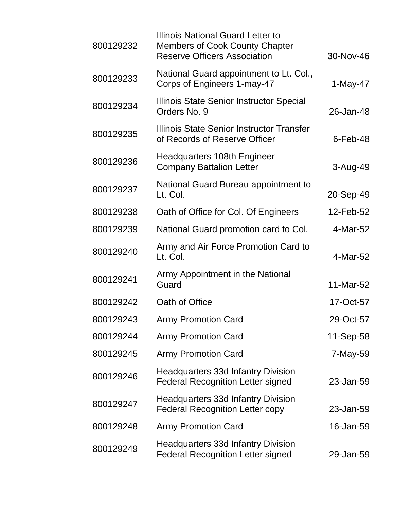| 800129232 | Illinois National Guard Letter to<br><b>Members of Cook County Chapter</b><br><b>Reserve Officers Association</b> | 30-Nov-46   |
|-----------|-------------------------------------------------------------------------------------------------------------------|-------------|
| 800129233 | National Guard appointment to Lt. Col.,<br>Corps of Engineers 1-may-47                                            | $1-May-47$  |
| 800129234 | Illinois State Senior Instructor Special<br>Orders No. 9                                                          | 26-Jan-48   |
| 800129235 | Illinois State Senior Instructor Transfer<br>of Records of Reserve Officer                                        | $6$ -Feb-48 |
| 800129236 | Headquarters 108th Engineer<br><b>Company Battalion Letter</b>                                                    | $3-Auq-49$  |
| 800129237 | National Guard Bureau appointment to<br>Lt. Col.                                                                  | 20-Sep-49   |
| 800129238 | Oath of Office for Col. Of Engineers                                                                              | 12-Feb-52   |
| 800129239 | National Guard promotion card to Col.                                                                             | 4-Mar-52    |
| 800129240 | Army and Air Force Promotion Card to<br>Lt. Col.                                                                  | 4-Mar-52    |
| 800129241 | Army Appointment in the National<br>Guard                                                                         | 11-Mar-52   |
| 800129242 | Oath of Office                                                                                                    | 17-Oct-57   |
| 800129243 | <b>Army Promotion Card</b>                                                                                        | 29-Oct-57   |
| 800129244 | <b>Army Promotion Card</b>                                                                                        | 11-Sep-58   |
| 800129245 | <b>Army Promotion Card</b>                                                                                        | 7-May-59    |
| 800129246 | <b>Headquarters 33d Infantry Division</b><br><b>Federal Recognition Letter signed</b>                             | 23-Jan-59   |
| 800129247 | <b>Headquarters 33d Infantry Division</b><br><b>Federal Recognition Letter copy</b>                               | 23-Jan-59   |
| 800129248 | <b>Army Promotion Card</b>                                                                                        | 16-Jan-59   |
| 800129249 | <b>Headquarters 33d Infantry Division</b><br><b>Federal Recognition Letter signed</b>                             | 29-Jan-59   |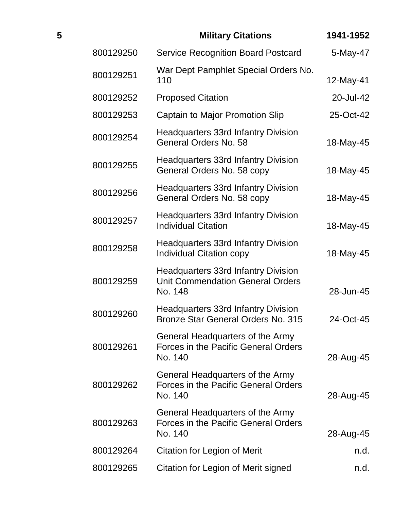| 5 |           | <b>Military Citations</b>                                                                        | 1941-1952 |
|---|-----------|--------------------------------------------------------------------------------------------------|-----------|
|   | 800129250 | <b>Service Recognition Board Postcard</b>                                                        | 5-May-47  |
|   | 800129251 | War Dept Pamphlet Special Orders No.<br>110                                                      | 12-May-41 |
|   | 800129252 | <b>Proposed Citation</b>                                                                         | 20-Jul-42 |
|   | 800129253 | <b>Captain to Major Promotion Slip</b>                                                           | 25-Oct-42 |
|   | 800129254 | <b>Headquarters 33rd Infantry Division</b><br>General Orders No. 58                              | 18-May-45 |
|   | 800129255 | <b>Headquarters 33rd Infantry Division</b><br>General Orders No. 58 copy                         | 18-May-45 |
|   | 800129256 | <b>Headquarters 33rd Infantry Division</b><br>General Orders No. 58 copy                         | 18-May-45 |
|   | 800129257 | <b>Headquarters 33rd Infantry Division</b><br><b>Individual Citation</b>                         | 18-May-45 |
|   | 800129258 | <b>Headquarters 33rd Infantry Division</b><br><b>Individual Citation copy</b>                    | 18-May-45 |
|   | 800129259 | <b>Headquarters 33rd Infantry Division</b><br><b>Unit Commendation General Orders</b><br>No. 148 | 28-Jun-45 |
|   | 800129260 | <b>Headquarters 33rd Infantry Division</b><br>Bronze Star General Orders No. 315                 | 24-Oct-45 |
|   | 800129261 | General Headquarters of the Army<br><b>Forces in the Pacific General Orders</b><br>No. 140       | 28-Aug-45 |
|   | 800129262 | General Headquarters of the Army<br>Forces in the Pacific General Orders<br>No. 140              | 28-Aug-45 |
|   | 800129263 | General Headquarters of the Army<br><b>Forces in the Pacific General Orders</b><br>No. 140       | 28-Aug-45 |
|   | 800129264 | <b>Citation for Legion of Merit</b>                                                              | n.d.      |
|   | 800129265 | Citation for Legion of Merit signed                                                              | n.d.      |
|   |           |                                                                                                  |           |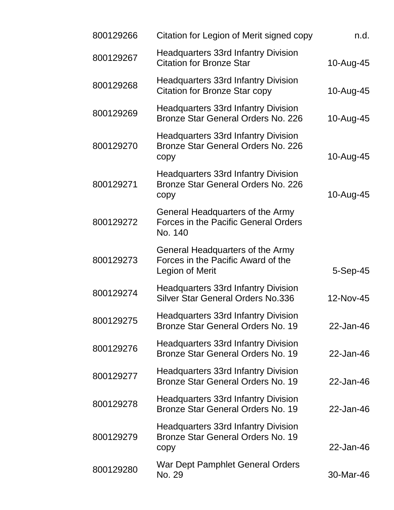| 800129266 | Citation for Legion of Merit signed copy                                                   | n.d.       |
|-----------|--------------------------------------------------------------------------------------------|------------|
| 800129267 | <b>Headquarters 33rd Infantry Division</b><br><b>Citation for Bronze Star</b>              | 10-Aug-45  |
| 800129268 | <b>Headquarters 33rd Infantry Division</b><br><b>Citation for Bronze Star copy</b>         | 10-Aug-45  |
| 800129269 | <b>Headquarters 33rd Infantry Division</b><br>Bronze Star General Orders No. 226           | 10-Aug-45  |
| 800129270 | <b>Headquarters 33rd Infantry Division</b><br>Bronze Star General Orders No. 226<br>copy   | 10-Aug-45  |
| 800129271 | <b>Headquarters 33rd Infantry Division</b><br>Bronze Star General Orders No. 226<br>copy   | 10-Aug-45  |
| 800129272 | General Headquarters of the Army<br><b>Forces in the Pacific General Orders</b><br>No. 140 |            |
| 800129273 | General Headquarters of the Army<br>Forces in the Pacific Award of the<br>Legion of Merit  | $5-Sep-45$ |
| 800129274 | <b>Headquarters 33rd Infantry Division</b><br><b>Silver Star General Orders No.336</b>     | 12-Nov-45  |
| 800129275 | <b>Headquarters 33rd Infantry Division</b><br>Bronze Star General Orders No. 19            | 22-Jan-46  |
| 800129276 | <b>Headquarters 33rd Infantry Division</b><br>Bronze Star General Orders No. 19            | 22-Jan-46  |
| 800129277 | <b>Headquarters 33rd Infantry Division</b><br>Bronze Star General Orders No. 19            | 22-Jan-46  |
| 800129278 | <b>Headquarters 33rd Infantry Division</b><br>Bronze Star General Orders No. 19            | 22-Jan-46  |
| 800129279 | <b>Headquarters 33rd Infantry Division</b><br>Bronze Star General Orders No. 19<br>copy    | 22-Jan-46  |
| 800129280 | War Dept Pamphlet General Orders<br>No. 29                                                 | 30-Mar-46  |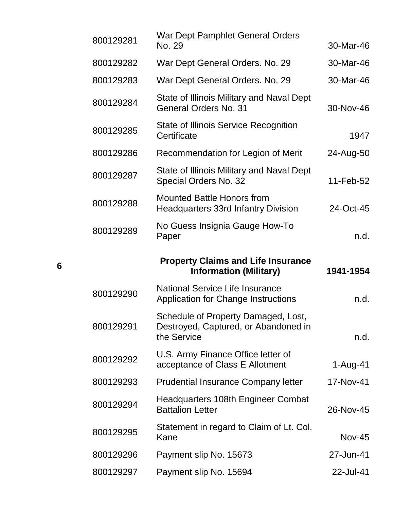| 30-Mar-46     | War Dept Pamphlet General Orders<br>No. 29                                                 | 800129281 |
|---------------|--------------------------------------------------------------------------------------------|-----------|
| 30-Mar-46     | War Dept General Orders. No. 29                                                            | 800129282 |
| 30-Mar-46     | War Dept General Orders. No. 29                                                            | 800129283 |
| 30-Nov-46     | State of Illinois Military and Naval Dept<br>General Orders No. 31                         | 800129284 |
| 1947          | <b>State of Illinois Service Recognition</b><br>Certificate                                | 800129285 |
| 24-Aug-50     | Recommendation for Legion of Merit                                                         | 800129286 |
| 11-Feb-52     | State of Illinois Military and Naval Dept<br>Special Orders No. 32                         | 800129287 |
| 24-Oct-45     | <b>Mounted Battle Honors from</b><br><b>Headquarters 33rd Infantry Division</b>            | 800129288 |
| n.d.          | No Guess Insignia Gauge How-To<br>Paper                                                    | 800129289 |
|               |                                                                                            |           |
| 1941-1954     | <b>Property Claims and Life Insurance</b><br><b>Information (Military)</b>                 |           |
| n.d.          | <b>National Service Life Insurance</b><br>Application for Change Instructions              | 800129290 |
| n.d.          | Schedule of Property Damaged, Lost,<br>Destroyed, Captured, or Abandoned in<br>the Service | 800129291 |
| 1-Aug-41      | U.S. Army Finance Office letter of<br>acceptance of Class E Allotment                      | 800129292 |
| 17-Nov-41     | <b>Prudential Insurance Company letter</b>                                                 | 800129293 |
| 26-Nov-45     | <b>Headquarters 108th Engineer Combat</b><br><b>Battalion Letter</b>                       | 800129294 |
| <b>Nov-45</b> | Statement in regard to Claim of Lt. Col.<br>Kane                                           | 800129295 |
| 27-Jun-41     | Payment slip No. 15673                                                                     | 800129296 |

**6**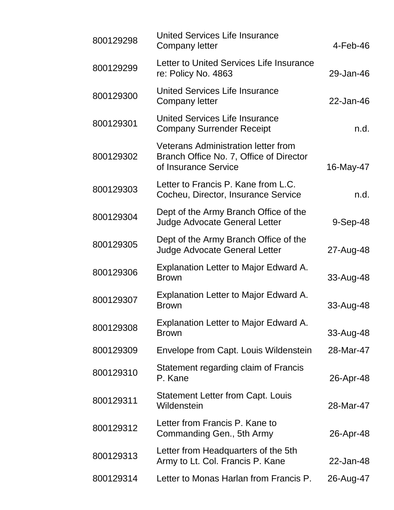| 800129298 | <b>United Services Life Insurance</b><br><b>Company letter</b>                                                | 4-Feb-46   |
|-----------|---------------------------------------------------------------------------------------------------------------|------------|
| 800129299 | Letter to United Services Life Insurance<br>re: Policy No. 4863                                               | 29-Jan-46  |
| 800129300 | <b>United Services Life Insurance</b><br>Company letter                                                       | 22-Jan-46  |
| 800129301 | United Services Life Insurance<br><b>Company Surrender Receipt</b>                                            | n.d.       |
| 800129302 | <b>Veterans Administration letter from</b><br>Branch Office No. 7, Office of Director<br>of Insurance Service | 16-May-47  |
| 800129303 | Letter to Francis P. Kane from L.C.<br>Cocheu, Director, Insurance Service                                    | n.d.       |
| 800129304 | Dept of the Army Branch Office of the<br><b>Judge Advocate General Letter</b>                                 | $9-Sep-48$ |
| 800129305 | Dept of the Army Branch Office of the<br><b>Judge Advocate General Letter</b>                                 | 27-Aug-48  |
| 800129306 | Explanation Letter to Major Edward A.<br><b>Brown</b>                                                         | 33-Aug-48  |
| 800129307 | <b>Explanation Letter to Major Edward A.</b><br><b>Brown</b>                                                  | 33-Aug-48  |
| 800129308 | <b>Explanation Letter to Major Edward A.</b><br><b>Brown</b>                                                  | 33-Aug-48  |
| 800129309 | Envelope from Capt. Louis Wildenstein                                                                         | 28-Mar-47  |
| 800129310 | Statement regarding claim of Francis<br>P. Kane                                                               | 26-Apr-48  |
| 800129311 | <b>Statement Letter from Capt. Louis</b><br>Wildenstein                                                       | 28-Mar-47  |
| 800129312 | Letter from Francis P. Kane to<br>Commanding Gen., 5th Army                                                   | 26-Apr-48  |
| 800129313 | Letter from Headquarters of the 5th<br>Army to Lt. Col. Francis P. Kane                                       | 22-Jan-48  |
| 800129314 | Letter to Monas Harlan from Francis P.                                                                        | 26-Aug-47  |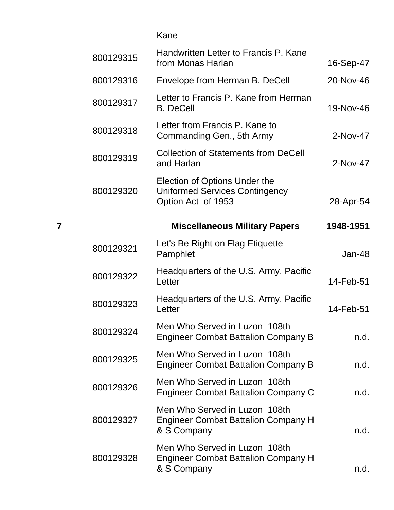Kane

|   | 800129315 | Handwritten Letter to Francis P. Kane<br>from Monas Harlan                                   | 16-Sep-47 |
|---|-----------|----------------------------------------------------------------------------------------------|-----------|
|   | 800129316 | Envelope from Herman B. DeCell                                                               | 20-Nov-46 |
|   | 800129317 | Letter to Francis P. Kane from Herman<br><b>B.</b> DeCell                                    | 19-Nov-46 |
|   | 800129318 | Letter from Francis P. Kane to<br>Commanding Gen., 5th Army                                  | 2-Nov-47  |
|   | 800129319 | <b>Collection of Statements from DeCell</b><br>and Harlan                                    | 2-Nov-47  |
|   | 800129320 | Election of Options Under the<br><b>Uniformed Services Contingency</b><br>Option Act of 1953 | 28-Apr-54 |
| 7 |           | <b>Miscellaneous Military Papers</b>                                                         | 1948-1951 |
|   | 800129321 | Let's Be Right on Flag Etiquette<br>Pamphlet                                                 | Jan-48    |
|   | 800129322 | Headquarters of the U.S. Army, Pacific<br>Letter                                             | 14-Feb-51 |
|   | 800129323 | Headquarters of the U.S. Army, Pacific<br>Letter                                             | 14-Feb-51 |
|   | 800129324 | Men Who Served in Luzon 108th<br><b>Engineer Combat Battalion Company B</b>                  | n.d.      |
|   | 800129325 | Men Who Served in Luzon 108th<br><b>Engineer Combat Battalion Company B</b>                  | n.d.      |
|   | 800129326 | Men Who Served in Luzon 108th<br><b>Engineer Combat Battalion Company C</b>                  | n.d.      |
|   | 800129327 | Men Who Served in Luzon 108th<br><b>Engineer Combat Battalion Company H</b><br>& S Company   | n.d.      |
|   | 800129328 | Men Who Served in Luzon 108th<br><b>Engineer Combat Battalion Company H</b><br>& S Company   | n.d.      |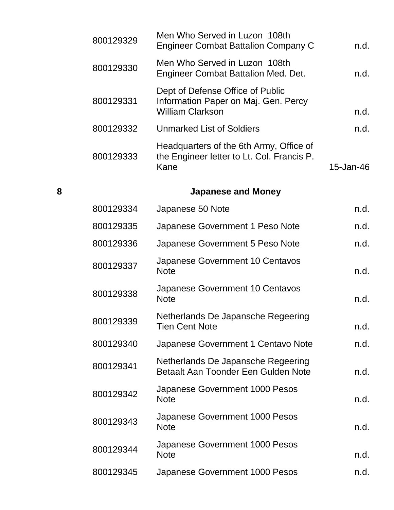|   | 800129329 | Men Who Served in Luzon 108th<br><b>Engineer Combat Battalion Company C</b>                         | n.d.      |
|---|-----------|-----------------------------------------------------------------------------------------------------|-----------|
|   | 800129330 | Men Who Served in Luzon 108th<br><b>Engineer Combat Battalion Med. Det.</b>                         | n.d.      |
|   | 800129331 | Dept of Defense Office of Public<br>Information Paper on Maj. Gen. Percy<br><b>William Clarkson</b> | n.d.      |
|   | 800129332 | <b>Unmarked List of Soldiers</b>                                                                    | n.d.      |
|   | 800129333 | Headquarters of the 6th Army, Office of<br>the Engineer letter to Lt. Col. Francis P.<br>Kane       | 15-Jan-46 |
| 8 |           | <b>Japanese and Money</b>                                                                           |           |
|   | 800129334 | Japanese 50 Note                                                                                    | n.d.      |
|   | 800129335 | Japanese Government 1 Peso Note                                                                     | n.d.      |
|   | 800129336 | Japanese Government 5 Peso Note                                                                     | n.d.      |
|   | 800129337 | Japanese Government 10 Centavos<br><b>Note</b>                                                      | n.d.      |
|   | 800129338 | Japanese Government 10 Centavos<br><b>Note</b>                                                      | n.d.      |
|   | 800129339 | Netherlands De Japansche Regeering<br><b>Tien Cent Note</b>                                         | n.d.      |
|   | 800129340 | Japanese Government 1 Centavo Note                                                                  | n.d.      |
|   | 800129341 | Netherlands De Japansche Regeering<br>Betaalt Aan Toonder Een Gulden Note                           | n.d.      |
|   | 800129342 | Japanese Government 1000 Pesos<br><b>Note</b>                                                       | n.d.      |
|   | 800129343 | Japanese Government 1000 Pesos<br><b>Note</b>                                                       | n.d.      |
|   | 800129344 | Japanese Government 1000 Pesos<br><b>Note</b>                                                       | n.d.      |
|   | 800129345 | Japanese Government 1000 Pesos                                                                      | n.d.      |
|   |           |                                                                                                     |           |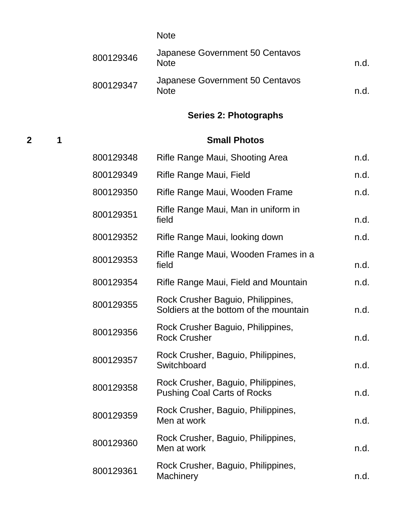|           | <b>Note</b>                                    |     |
|-----------|------------------------------------------------|-----|
| 800129346 | Japanese Government 50 Centavos<br><b>Note</b> | n d |
| 800129347 | Japanese Government 50 Centavos<br><b>Note</b> | n d |

# **Series 2: Photographs**

# **2 1 Small Photos**

| 800129348 | Rifle Range Maui, Shooting Area                                             | n.d. |
|-----------|-----------------------------------------------------------------------------|------|
| 800129349 | Rifle Range Maui, Field                                                     | n.d. |
| 800129350 | Rifle Range Maui, Wooden Frame                                              | n.d. |
| 800129351 | Rifle Range Maui, Man in uniform in<br>field                                | n.d. |
| 800129352 | Rifle Range Maui, looking down                                              | n.d. |
| 800129353 | Rifle Range Maui, Wooden Frames in a<br>field                               | n.d. |
| 800129354 | Rifle Range Maui, Field and Mountain                                        | n.d. |
| 800129355 | Rock Crusher Baguio, Philippines,<br>Soldiers at the bottom of the mountain | n.d. |
| 800129356 | Rock Crusher Baguio, Philippines,<br><b>Rock Crusher</b>                    | n.d. |
| 800129357 | Rock Crusher, Baguio, Philippines,<br>Switchboard                           | n.d. |
| 800129358 | Rock Crusher, Baguio, Philippines,<br><b>Pushing Coal Carts of Rocks</b>    | n.d. |
| 800129359 | Rock Crusher, Baguio, Philippines,<br>Men at work                           | n.d. |
| 800129360 | Rock Crusher, Baguio, Philippines,<br>Men at work                           | n.d. |
| 800129361 | Rock Crusher, Baguio, Philippines,<br><b>Machinery</b>                      | n.d. |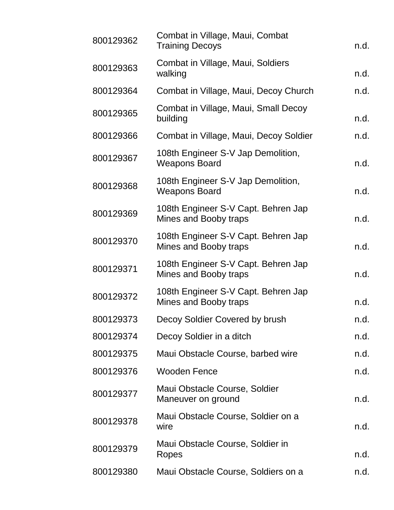| 800129362 | Combat in Village, Maui, Combat<br><b>Training Decoys</b>    | n.d. |
|-----------|--------------------------------------------------------------|------|
| 800129363 | Combat in Village, Maui, Soldiers<br>walking                 | n.d. |
| 800129364 | Combat in Village, Maui, Decoy Church                        | n.d. |
| 800129365 | Combat in Village, Maui, Small Decoy<br>building             | n.d. |
| 800129366 | Combat in Village, Maui, Decoy Soldier                       | n.d. |
| 800129367 | 108th Engineer S-V Jap Demolition,<br><b>Weapons Board</b>   | n.d. |
| 800129368 | 108th Engineer S-V Jap Demolition,<br><b>Weapons Board</b>   | n.d. |
| 800129369 | 108th Engineer S-V Capt. Behren Jap<br>Mines and Booby traps | n.d. |
| 800129370 | 108th Engineer S-V Capt. Behren Jap<br>Mines and Booby traps | n.d. |
| 800129371 | 108th Engineer S-V Capt. Behren Jap<br>Mines and Booby traps | n.d. |
| 800129372 | 108th Engineer S-V Capt. Behren Jap<br>Mines and Booby traps | n.d. |
| 800129373 | Decoy Soldier Covered by brush                               | n.d. |
| 800129374 | Decoy Soldier in a ditch                                     | n.d. |
| 800129375 | Maui Obstacle Course, barbed wire                            | n.d. |
| 800129376 | <b>Wooden Fence</b>                                          | n.d. |
| 800129377 | Maui Obstacle Course, Soldier<br>Maneuver on ground          | n.d. |
| 800129378 | Maui Obstacle Course, Soldier on a<br>wire                   | n.d. |
| 800129379 | Maui Obstacle Course, Soldier in<br>Ropes                    | n.d. |
| 800129380 | Maui Obstacle Course, Soldiers on a                          | n.d. |
|           |                                                              |      |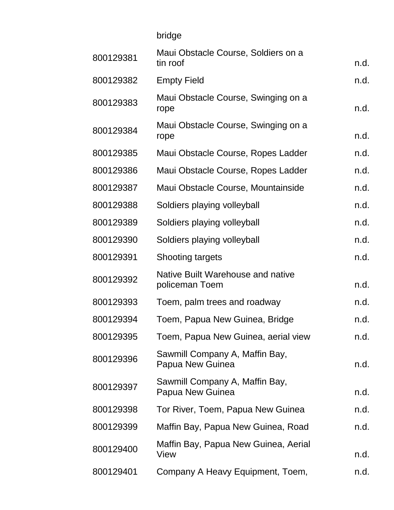|           | bridge                                              |      |
|-----------|-----------------------------------------------------|------|
| 800129381 | Maui Obstacle Course, Soldiers on a<br>tin roof     | n.d. |
| 800129382 | <b>Empty Field</b>                                  | n.d. |
| 800129383 | Maui Obstacle Course, Swinging on a<br>rope         | n.d. |
| 800129384 | Maui Obstacle Course, Swinging on a<br>rope         | n.d. |
| 800129385 | Maui Obstacle Course, Ropes Ladder                  | n.d. |
| 800129386 | Maui Obstacle Course, Ropes Ladder                  | n.d. |
| 800129387 | Maui Obstacle Course, Mountainside                  | n.d. |
| 800129388 | Soldiers playing volleyball                         | n.d. |
| 800129389 | Soldiers playing volleyball                         | n.d. |
| 800129390 | Soldiers playing volleyball                         | n.d. |
| 800129391 | <b>Shooting targets</b>                             | n.d. |
| 800129392 | Native Built Warehouse and native<br>policeman Toem | n.d. |
| 800129393 | Toem, palm trees and roadway                        | n.d. |
| 800129394 | Toem, Papua New Guinea, Bridge                      | n.d. |
| 800129395 | Toem, Papua New Guinea, aerial view                 | n.d. |
| 800129396 | Sawmill Company A, Maffin Bay,<br>Papua New Guinea  | n.d. |
| 800129397 | Sawmill Company A, Maffin Bay,<br>Papua New Guinea  | n.d. |
| 800129398 | Tor River, Toem, Papua New Guinea                   | n.d. |
| 800129399 | Maffin Bay, Papua New Guinea, Road                  | n.d. |
| 800129400 | Maffin Bay, Papua New Guinea, Aerial<br>View        | n.d. |
| 800129401 | Company A Heavy Equipment, Toem,                    | n.d. |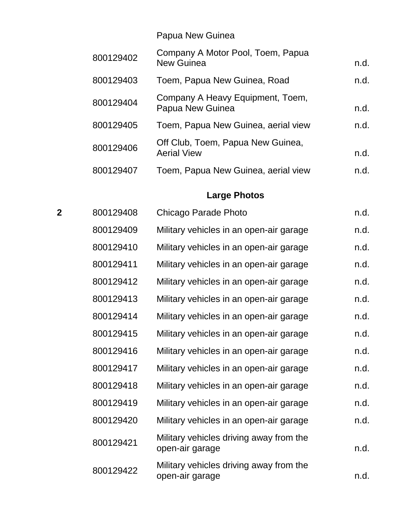Papua New Guinea

| 800129402 | Company A Motor Pool, Toem, Papua<br><b>New Guinea</b>  | n.d. |
|-----------|---------------------------------------------------------|------|
| 800129403 | Toem, Papua New Guinea, Road                            | n.d. |
| 800129404 | Company A Heavy Equipment, Toem,<br>Papua New Guinea    | n.d. |
| 800129405 | Toem, Papua New Guinea, aerial view                     | n.d. |
| 800129406 | Off Club, Toem, Papua New Guinea,<br><b>Aerial View</b> | n.d. |
| 800129407 | Toem, Papua New Guinea, aerial view                     | n.d. |

# **Large Photos**

| $\overline{2}$ | 800129408 | Chicago Parade Photo                                       | n.d. |
|----------------|-----------|------------------------------------------------------------|------|
|                | 800129409 | Military vehicles in an open-air garage                    | n.d. |
|                | 800129410 | Military vehicles in an open-air garage                    | n.d. |
|                | 800129411 | Military vehicles in an open-air garage                    | n.d. |
|                | 800129412 | Military vehicles in an open-air garage                    | n.d. |
|                | 800129413 | Military vehicles in an open-air garage                    | n.d. |
|                | 800129414 | Military vehicles in an open-air garage                    | n.d. |
|                | 800129415 | Military vehicles in an open-air garage                    | n.d. |
|                | 800129416 | Military vehicles in an open-air garage                    | n.d. |
|                | 800129417 | Military vehicles in an open-air garage                    | n.d. |
|                | 800129418 | Military vehicles in an open-air garage                    | n.d. |
|                | 800129419 | Military vehicles in an open-air garage                    | n.d. |
|                | 800129420 | Military vehicles in an open-air garage                    | n.d. |
|                | 800129421 | Military vehicles driving away from the<br>open-air garage | n.d. |
|                | 800129422 | Military vehicles driving away from the<br>open-air garage | n.d. |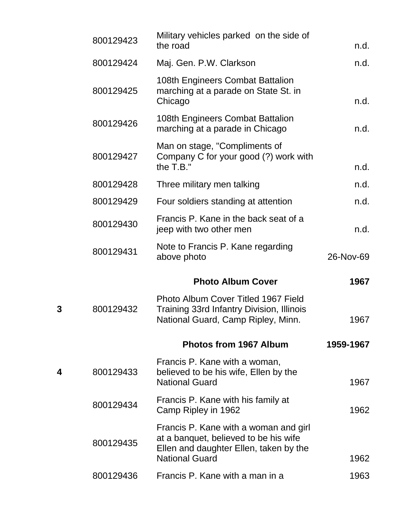|   | 800129423 | Military vehicles parked on the side of<br>the road                                                                                               | n.d.      |
|---|-----------|---------------------------------------------------------------------------------------------------------------------------------------------------|-----------|
|   | 800129424 | Maj. Gen. P.W. Clarkson                                                                                                                           | n.d.      |
|   | 800129425 | 108th Engineers Combat Battalion<br>marching at a parade on State St. in<br>Chicago                                                               | n.d.      |
|   | 800129426 | 108th Engineers Combat Battalion<br>marching at a parade in Chicago                                                                               | n.d.      |
|   | 800129427 | Man on stage, "Compliments of<br>Company C for your good (?) work with<br>the $T.B."$                                                             | n.d.      |
|   | 800129428 | Three military men talking                                                                                                                        | n.d.      |
|   | 800129429 | Four soldiers standing at attention                                                                                                               | n.d.      |
|   | 800129430 | Francis P. Kane in the back seat of a<br>jeep with two other men                                                                                  | n.d.      |
|   | 800129431 | Note to Francis P. Kane regarding<br>above photo                                                                                                  | 26-Nov-69 |
|   |           | <b>Photo Album Cover</b>                                                                                                                          | 1967      |
| 3 | 800129432 | Photo Album Cover Titled 1967 Field<br><b>Training 33rd Infantry Division, Illinois</b><br>National Guard, Camp Ripley, Minn.                     | 1967      |
|   |           | <b>Photos from 1967 Album</b>                                                                                                                     | 1959-1967 |
| 4 | 800129433 | Francis P. Kane with a woman,<br>believed to be his wife, Ellen by the<br><b>National Guard</b>                                                   | 1967      |
|   | 800129434 | Francis P. Kane with his family at<br>Camp Ripley in 1962                                                                                         | 1962      |
|   | 800129435 | Francis P. Kane with a woman and girl<br>at a banquet, believed to be his wife<br>Ellen and daughter Ellen, taken by the<br><b>National Guard</b> | 1962      |
|   | 800129436 | Francis P. Kane with a man in a                                                                                                                   | 1963      |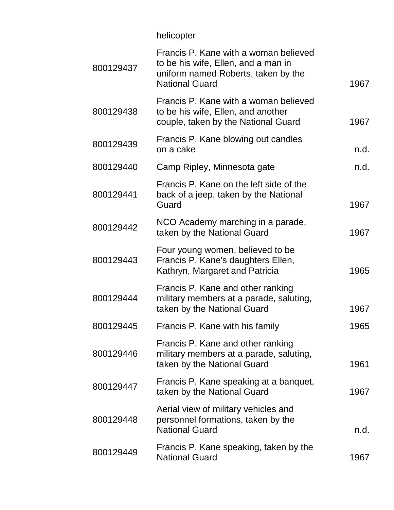helicopter

| 800129437 | Francis P. Kane with a woman believed<br>to be his wife, Ellen, and a man in<br>uniform named Roberts, taken by the<br><b>National Guard</b> | 1967 |
|-----------|----------------------------------------------------------------------------------------------------------------------------------------------|------|
| 800129438 | Francis P. Kane with a woman believed<br>to be his wife, Ellen, and another<br>couple, taken by the National Guard                           | 1967 |
| 800129439 | Francis P. Kane blowing out candles<br>on a cake                                                                                             | n.d. |
| 800129440 | Camp Ripley, Minnesota gate                                                                                                                  | n.d. |
| 800129441 | Francis P. Kane on the left side of the<br>back of a jeep, taken by the National<br>Guard                                                    | 1967 |
| 800129442 | NCO Academy marching in a parade,<br>taken by the National Guard                                                                             | 1967 |
| 800129443 | Four young women, believed to be<br>Francis P. Kane's daughters Ellen,<br>Kathryn, Margaret and Patricia                                     | 1965 |
| 800129444 | Francis P. Kane and other ranking<br>military members at a parade, saluting,<br>taken by the National Guard                                  | 1967 |
| 800129445 | Francis P. Kane with his family                                                                                                              | 1965 |
| 800129446 | Francis P. Kane and other ranking<br>military members at a parade, saluting,<br>taken by the National Guard                                  | 1961 |
| 800129447 | Francis P. Kane speaking at a banquet,<br>taken by the National Guard                                                                        | 1967 |
| 800129448 | Aerial view of military vehicles and<br>personnel formations, taken by the<br><b>National Guard</b>                                          | n.d. |
| 800129449 | Francis P. Kane speaking, taken by the<br><b>National Guard</b>                                                                              | 1967 |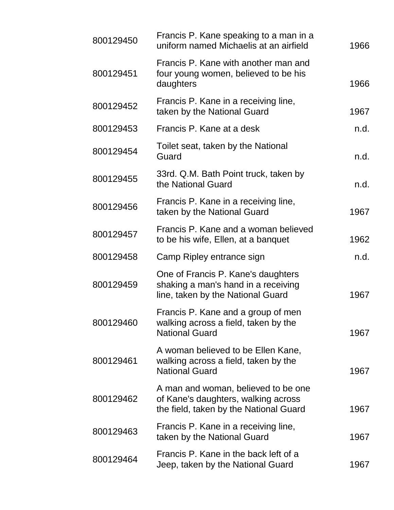| 800129450 | Francis P. Kane speaking to a man in a<br>uniform named Michaelis at an airfield                                     | 1966 |
|-----------|----------------------------------------------------------------------------------------------------------------------|------|
| 800129451 | Francis P. Kane with another man and<br>four young women, believed to be his<br>daughters                            | 1966 |
| 800129452 | Francis P. Kane in a receiving line,<br>taken by the National Guard                                                  | 1967 |
| 800129453 | Francis P. Kane at a desk                                                                                            | n.d. |
| 800129454 | Toilet seat, taken by the National<br>Guard                                                                          | n.d. |
| 800129455 | 33rd. Q.M. Bath Point truck, taken by<br>the National Guard                                                          | n.d. |
| 800129456 | Francis P. Kane in a receiving line,<br>taken by the National Guard                                                  | 1967 |
| 800129457 | Francis P. Kane and a woman believed<br>to be his wife, Ellen, at a banquet                                          | 1962 |
| 800129458 | Camp Ripley entrance sign                                                                                            | n.d. |
| 800129459 | One of Francis P. Kane's daughters<br>shaking a man's hand in a receiving<br>line, taken by the National Guard       | 1967 |
| 800129460 | Francis P. Kane and a group of men<br>walking across a field, taken by the<br><b>National Guard</b>                  | 1967 |
| 800129461 | A woman believed to be Ellen Kane,<br>walking across a field, taken by the<br><b>National Guard</b>                  | 1967 |
| 800129462 | A man and woman, believed to be one<br>of Kane's daughters, walking across<br>the field, taken by the National Guard | 1967 |
| 800129463 | Francis P. Kane in a receiving line,<br>taken by the National Guard                                                  | 1967 |
| 800129464 | Francis P. Kane in the back left of a<br>Jeep, taken by the National Guard                                           | 1967 |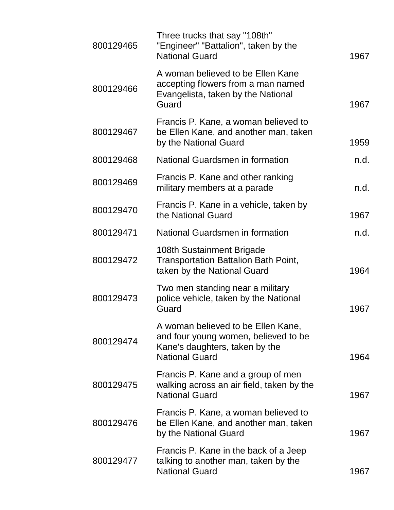| 800129465 | Three trucks that say "108th"<br>"Engineer" "Battalion", taken by the<br><b>National Guard</b>                                        | 1967 |
|-----------|---------------------------------------------------------------------------------------------------------------------------------------|------|
| 800129466 | A woman believed to be Ellen Kane<br>accepting flowers from a man named<br>Evangelista, taken by the National<br>Guard                | 1967 |
| 800129467 | Francis P. Kane, a woman believed to<br>be Ellen Kane, and another man, taken<br>by the National Guard                                | 1959 |
| 800129468 | National Guardsmen in formation                                                                                                       | n.d. |
| 800129469 | Francis P. Kane and other ranking<br>military members at a parade                                                                     | n.d. |
| 800129470 | Francis P. Kane in a vehicle, taken by<br>the National Guard                                                                          | 1967 |
| 800129471 | National Guardsmen in formation                                                                                                       | n.d. |
| 800129472 | 108th Sustainment Brigade<br><b>Transportation Battalion Bath Point,</b><br>taken by the National Guard                               | 1964 |
| 800129473 | Two men standing near a military<br>police vehicle, taken by the National<br>Guard                                                    | 1967 |
| 800129474 | A woman believed to be Ellen Kane,<br>and four young women, believed to be<br>Kane's daughters, taken by the<br><b>National Guard</b> | 1964 |
| 800129475 | Francis P. Kane and a group of men<br>walking across an air field, taken by the<br><b>National Guard</b>                              | 1967 |
| 800129476 | Francis P. Kane, a woman believed to<br>be Ellen Kane, and another man, taken<br>by the National Guard                                | 1967 |
| 800129477 | Francis P. Kane in the back of a Jeep<br>talking to another man, taken by the<br><b>National Guard</b>                                | 1967 |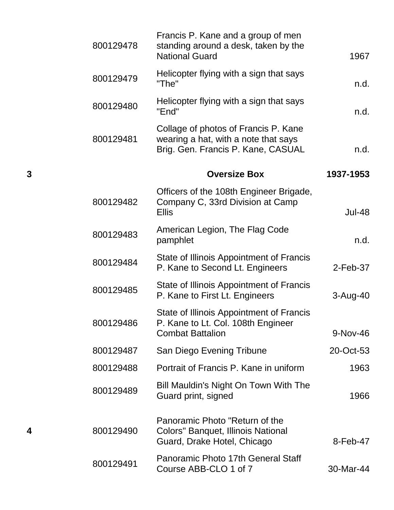| 1967          | Francis P. Kane and a group of men<br>standing around a desk, taken by the<br><b>National Guard</b>                | 800129478      |
|---------------|--------------------------------------------------------------------------------------------------------------------|----------------|
| n.d.          | Helicopter flying with a sign that says<br>"The"                                                                   | 800129479      |
| n.d.          | Helicopter flying with a sign that says<br>"End"                                                                   | 800129480      |
| n.d.          | Collage of photos of Francis P. Kane<br>wearing a hat, with a note that says<br>Brig. Gen. Francis P. Kane, CASUAL | 800129481      |
| 1937-1953     | <b>Oversize Box</b>                                                                                                | 3              |
| <b>Jul-48</b> | Officers of the 108th Engineer Brigade,<br>Company C, 33rd Division at Camp<br><b>Ellis</b>                        | 800129482      |
| n.d.          | American Legion, The Flag Code<br>pamphlet                                                                         | 800129483      |
| $2$ -Feb-37   | State of Illinois Appointment of Francis<br>P. Kane to Second Lt. Engineers                                        | 800129484      |
| 3-Aug-40      | State of Illinois Appointment of Francis<br>P. Kane to First Lt. Engineers                                         | 800129485      |
| 9-Nov-46      | State of Illinois Appointment of Francis<br>P. Kane to Lt. Col. 108th Engineer<br><b>Combat Battalion</b>          | 800129486      |
| 20-Oct-53     | San Diego Evening Tribune                                                                                          | 800129487      |
| 1963          | Portrait of Francis P. Kane in uniform                                                                             | 800129488      |
| 1966          | Bill Mauldin's Night On Town With The<br>Guard print, signed                                                       | 800129489      |
| 8-Feb-47      | Panoramic Photo "Return of the<br>Colors" Banquet, Illinois National<br>Guard, Drake Hotel, Chicago                | 800129490<br>4 |
| 30-Mar-44     | Panoramic Photo 17th General Staff<br>Course ABB-CLO 1 of 7                                                        | 800129491      |